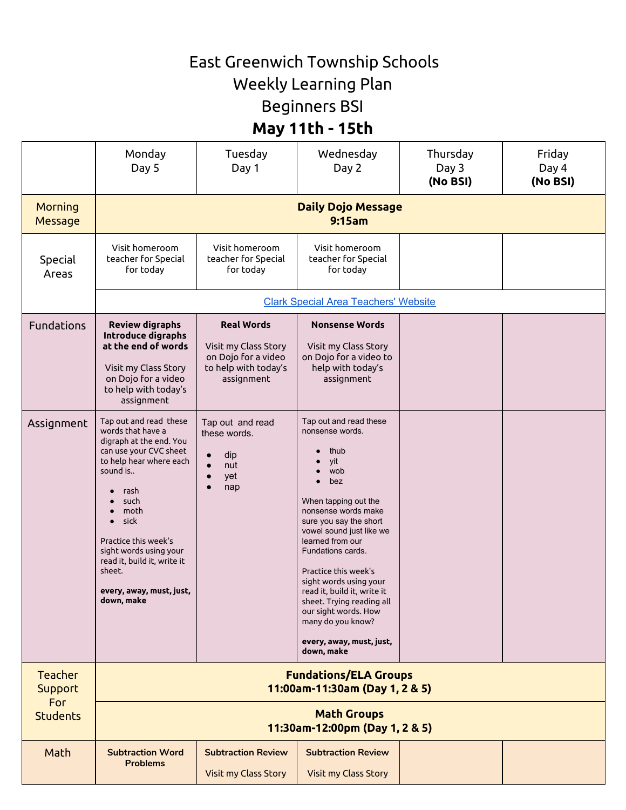## East Greenwich Township Schools

Weekly Learning Plan

Beginners BSI

## **May 11th - 15th**

|                                                            | Monday<br>Day 5                                                                                                                                                                                                                                                                                              | Tuesday<br>Day 1                                                                                       | Wednesday<br>Day 2                                                                                                                                                                                                                                                                                                                                                                                                                     | Thursday<br>Day 3<br>(No BSI) | Friday<br>Day 4<br>(No BSI) |  |  |  |
|------------------------------------------------------------|--------------------------------------------------------------------------------------------------------------------------------------------------------------------------------------------------------------------------------------------------------------------------------------------------------------|--------------------------------------------------------------------------------------------------------|----------------------------------------------------------------------------------------------------------------------------------------------------------------------------------------------------------------------------------------------------------------------------------------------------------------------------------------------------------------------------------------------------------------------------------------|-------------------------------|-----------------------------|--|--|--|
| <b>Morning</b><br>Message                                  | <b>Daily Dojo Message</b><br>9:15am                                                                                                                                                                                                                                                                          |                                                                                                        |                                                                                                                                                                                                                                                                                                                                                                                                                                        |                               |                             |  |  |  |
| Special<br>Areas                                           | Visit homeroom<br>teacher for Special<br>for today                                                                                                                                                                                                                                                           | Visit homeroom<br>teacher for Special<br>for today                                                     | Visit homeroom<br>teacher for Special<br>for today                                                                                                                                                                                                                                                                                                                                                                                     |                               |                             |  |  |  |
|                                                            | <b>Clark Special Area Teachers' Website</b>                                                                                                                                                                                                                                                                  |                                                                                                        |                                                                                                                                                                                                                                                                                                                                                                                                                                        |                               |                             |  |  |  |
| <b>Fundations</b>                                          | <b>Review digraphs</b><br>Introduce digraphs<br>at the end of words<br>Visit my Class Story<br>on Dojo for a video<br>to help with today's<br>assignment                                                                                                                                                     | <b>Real Words</b><br>Visit my Class Story<br>on Dojo for a video<br>to help with today's<br>assignment | <b>Nonsense Words</b><br>Visit my Class Story<br>on Dojo for a video to<br>help with today's<br>assignment                                                                                                                                                                                                                                                                                                                             |                               |                             |  |  |  |
| Assignment                                                 | Tap out and read these<br>words that have a<br>digraph at the end. You<br>can use your CVC sheet<br>to help hear where each<br>sound is<br>rash<br>such<br>moth<br>sick<br>Practice this week's<br>sight words using your<br>read it, build it, write it<br>sheet.<br>every, away, must, just,<br>gown, make | Tap out and read<br>these words.<br>dip<br>nut<br>yet<br>nap<br>$\bullet$                              | Tap out and read these<br>nonsense words.<br>thub<br>vit<br>wob<br>bez<br>$\bullet$<br>When tapping out the<br>nonsense words make<br>sure you say the short<br>vowel sound just like we<br>learned from our<br>Fundations cards.<br>Practice this week's<br>sight words using your<br>read it, build it, write it<br>sheet. Trying reading all<br>our sight words. How<br>many do you know?<br>every, away, must, just,<br>down, make |                               |                             |  |  |  |
| <b>Teacher</b><br><b>Support</b><br>For<br><b>Students</b> | <b>Fundations/ELA Groups</b><br>11:00am-11:30am (Day 1, 2 & 5)                                                                                                                                                                                                                                               |                                                                                                        |                                                                                                                                                                                                                                                                                                                                                                                                                                        |                               |                             |  |  |  |
|                                                            | <b>Math Groups</b><br>11:30am-12:00pm (Day 1, 2 & 5)                                                                                                                                                                                                                                                         |                                                                                                        |                                                                                                                                                                                                                                                                                                                                                                                                                                        |                               |                             |  |  |  |
| Math                                                       | <b>Subtraction Word</b><br><b>Problems</b>                                                                                                                                                                                                                                                                   | <b>Subtraction Review</b><br>Visit my Class Story                                                      | <b>Subtraction Review</b><br>Visit my Class Story                                                                                                                                                                                                                                                                                                                                                                                      |                               |                             |  |  |  |